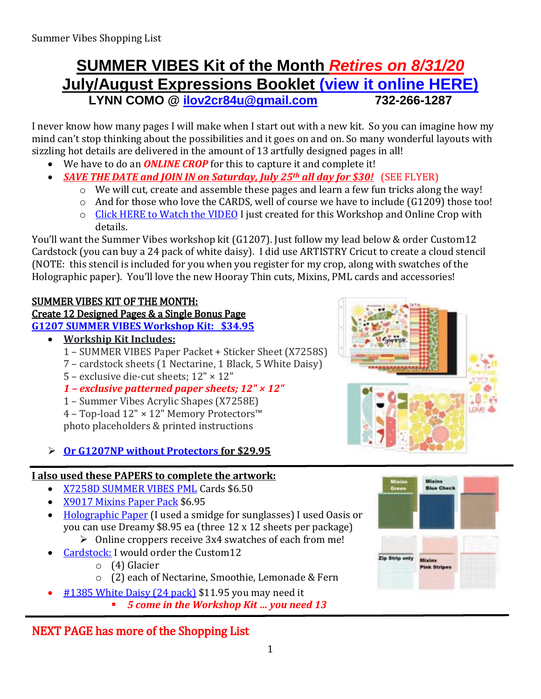# **SUMMER VIBES Kit of the Month** *Retires on 8/31/20* **July/August Expressions Booklet [\(view it online HERE\)](https://lynncomo.closetomyheart.com/ctmh/products/online-idea-book.aspx) LYNN COMO @ [ilov2cr84u@gmail.com](mailto:ilov2cr84u@optonline.net) 732-266-1287**

I never know how many pages I will make when I start out with a new kit. So you can imagine how my mind can't stop thinking about the possibilities and it goes on and on. So many wonderful layouts with sizzling hot details are delivered in the amount of 13 artfully designed pages in all!

- We have to do an *ONLINE CROP* for this to capture it and complete it!
- *SAVE THE DATE and JOIN IN on Saturday, July 25th all day for \$30!* (SEE FLYER)
	- o We will cut, create and assemble these pages and learn a few fun tricks along the way!
	- o And for those who love the CARDS, well of course we have to include (G1209) those too!
	- o [Click HERE to Watch the VIDEO](https://youtu.be/3WWZfVbNA0M) I just created for this Workshop and Online Crop with details.

You'll want the Summer Vibes workshop kit (G1207). Just follow my lead below & order Custom12 Cardstock (you can buy a 24 pack of white daisy). I did use ARTISTRY Cricut to create a cloud stencil (NOTE: this stencil is included for you when you register for my crop, along with swatches of the Holographic paper). You'll love the new Hooray Thin cuts, Mixins, PML cards and accessories!

### SUMMER VIBES KIT OF THE MONTH:

# Create 12 Designed Pages & a Single Bonus Page

**G1207 SUMMER VIBES [Workshop Kit: \\$34.95](https://lynncomo.closetomyheart.com/retail/search.aspx?searchvalue=g1207)**

- **Workship Kit Includes:**
	- 1 SUMMER VIBES Paper Packet + Sticker Sheet (X7258S)
	- 7 cardstock sheets (1 Nectarine, 1 Black, 5 White Daisy)
	- 5 exclusive die-cut sheets; 12" × 12"
	- *1 – exclusive patterned paper sheets; 12" × 12"*
	- 1 Summer Vibes Acrylic Shapes (X7258E)

4 – Top-load 12" × 12" Memory Protectors™ photo placeholders & printed instructions

## **Or G1207NP [without Protectors](https://lynncomo.closetomyheart.com/retail/search.aspx?searchvalue=g1207) for \$29.95**

## **I also used these PAPERS to complete the artwork:**

- [X7258D SUMMER VIBES](https://lynncomo.closetomyheart.com/retail/Product.aspx?ItemID=13875) PML Cards \$6.50
- X9017 [Mixins Paper Pack](https://lynncomo.closetomyheart.com/retail/Product.aspx?ItemID=13883) \$6.95
- [Holographic Paper](https://lynncomo.closetomyheart.com/retail/search.aspx?searchvalue=holographic) (I used a smidge for sunglasses) I used Oasis or you can use Dreamy \$8.95 ea (three 12 x 12 sheets per package)
	- $\triangleright$  Online croppers receive 3x4 swatches of each from me!
- [Cardstock:](https://lynncomo.closetomyheart.com/retail/search.aspx?searchvalue=custom) I would order the Custom12
	- o (4) Glacier
	- o (2) each of Nectarine, Smoothie, Lemonade & Fern
- #1385 [White Daisy \(24 pack\)](https://lynncomo.closetomyheart.com/retail/Product.aspx?ItemID=382) \$11.95 you may need it
	- *5 come in the Workshop Kit … you need 13*

# NEXT PAGE has more of the Shopping List



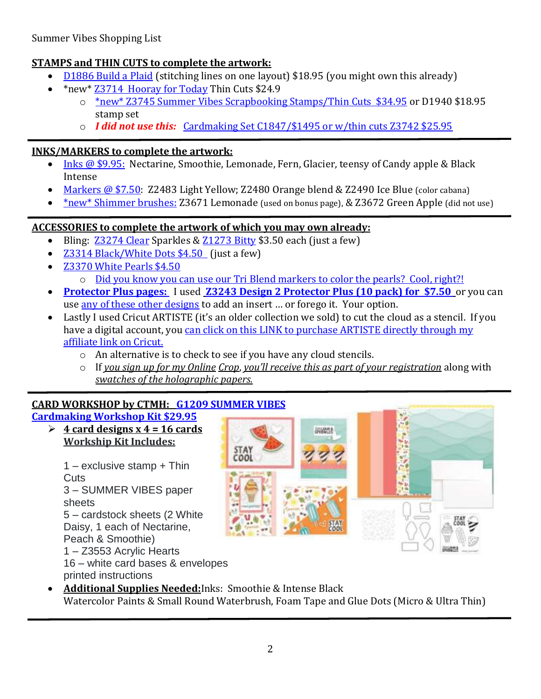#### **STAMPS and THIN CUTS to complete the artwork:**

- [D1886 Build a Plaid](https://lynncomo.closetomyheart.com/retail/Product.aspx?ItemID=12867) (stitching lines on one layout) \$18.95 (you might own this already)
- \*new[\\* Z3714 Hooray for Today](https://lynncomo.closetomyheart.com/retail/Product.aspx?ItemID=13887) Thin Cuts \$24.9
	- o \*new[\\* Z3745 Summer Vibes Scrapbooking Stamps/Thin Cuts \\$34.95](https://lynncomo.closetomyheart.com/retail/search.aspx?searchvalue=summer+vibes+scrapbooking+stamps) or D1940 \$18.95 stamp set
	- o *I did not use this:* [Cardmaking Set C1847/\\$1495 or w/thin cuts Z3742 \\$25.95](https://lynncomo.closetomyheart.com/retail/search.aspx?searchvalue=summer+vibes+cardmaking)

#### **INKS/MARKERS to complete the artwork:**

- Inks [@ \\$9.95:](https://lynncomo.closetomyheart.com/retail/Products.aspx?CatalogID=235) Nectarine, Smoothie, Lemonade, Fern, Glacier, teensy of Candy apple & Black Intense
- [Markers @ \\$7.50:](https://lynncomo.closetomyheart.com/retail/Products.aspx?CatalogID=237) Z2483 Light Yellow; Z2480 Orange blend & Z2490 Ice Blue (color cabana)
- \*new\* Shimmer brushes: Z3671 Lemonade (used on bonus page), & Z3672 Green Apple (did not use)

#### **ACCESSORIES to complete the artwork of which you may own already:**

- Bling: [Z3274 Clear](https://lynncomo.closetomyheart.com/retail/Product.aspx?ItemID=9384) Sparkles & [Z1273 Bitty](https://lynncomo.closetomyheart.com/retail/Product.aspx?ItemID=5025) \$3.50 each (just a few)
- [Z3314 Black/White Dots \\$4.50](https://lynncomo.closetomyheart.com/retail/Product.aspx?ItemID=9792) (just a few)
- [Z3370 White Pearls \\$4.50](https://lynncomo.closetomyheart.com/retail/Product.aspx?ItemID=10316)
	- o [Did you know you can use our Tri Blend markers to color the pearls? Cool, right?!](https://lynncomo.closetomyheart.com/retail/search.aspx?searchvalue=markers)
- **[Protector Plus pages:](https://lynncomo.closetomyheart.com/retail/search.aspx?searchvalue=protector+plus)** I used **[Z3243 Design 2 Protector Plus](https://lynncomo.closetomyheart.com/retail/Product.aspx?ItemID=9355) (10 pack) for \$7.50** or you can use [any of these other](https://lynncomo.closetomyheart.com/retail/search.aspx?searchvalue=pocket+plus) designs to add an insert ... or forego it. Your option.
- Lastly I used Cricut ARTISTE (it's an older collection we sold) to cut the cloud as a stencil. If you have a digital account, you can click on this LINK to purchase ARTISTE directly through my [affiliate link on Cricut.](https://cricut.com/en_us/close-to-my-heart.html) 
	- o An alternative is to check to see if you have any cloud stencils.
	- o If *you sign up for my Online Crop*, *you'll receive this as part of your registration* along with *swatches of the holographic papers.*

#### **CARD WORKSHOP by CTMH: G1209 [SUMMER VIBES](https://lynncomo.closetomyheart.com/retail/Product.aspx?ItemID=13864)**

#### **[Cardmaking Workshop Kit \\$29.95](https://lynncomo.closetomyheart.com/retail/Product.aspx?ItemID=13864)**

 $\geq 4$  card designs x 4 = 16 cards **Workship Kit Includes:**

1 – exclusive stamp + Thin **Cuts** 3 – SUMMER VIBES paper sheets 5 – cardstock sheets (2 White Daisy, 1 each of Nectarine, Peach & Smoothie) 1 – Z3553 Acrylic Hearts 16 – white card bases & envelopes

printed instructions



 **Additional Supplies Needed:**Inks: Smoothie & Intense Black Watercolor Paints & Small Round Waterbrush, Foam Tape and Glue Dots (Micro & Ultra Thin)